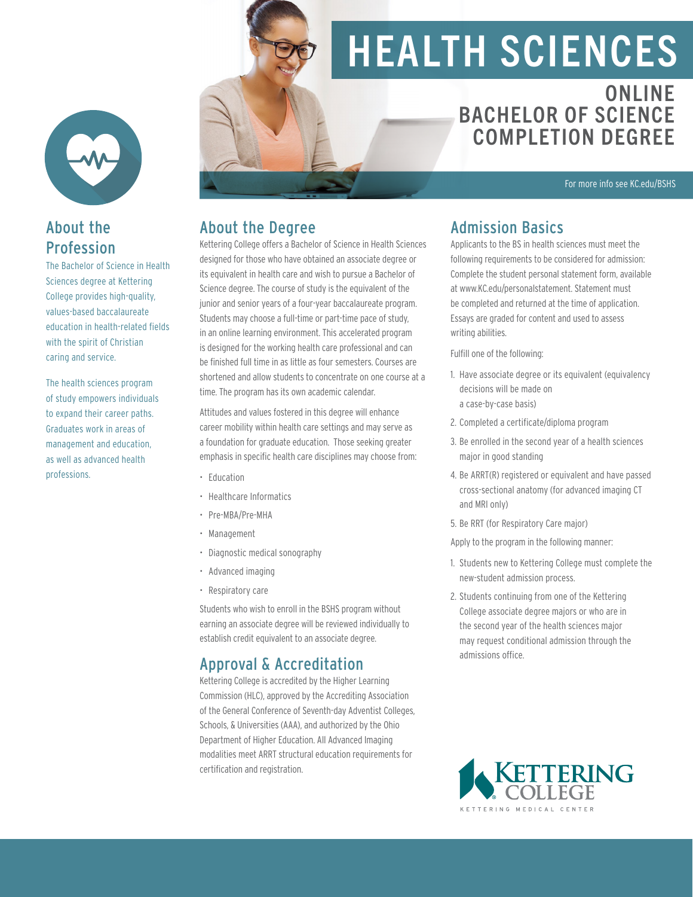

# About the Profession

The Bachelor of Science in Health Sciences degree at Kettering College provides high-quality, values-based baccalaureate education in health-related fields with the spirit of Christian caring and service.

The health sciences program of study empowers individuals to expand their career paths. Graduates work in areas of management and education, as well as advanced health professions.

# **HEALTH SCIENCES**

# ONLINE BACHELOR OF SCIENCE COMPLETION DEGREE

For more info see KC.edu/BSHS

### About the Degree

Kettering College offers a Bachelor of Science in Health Sciences designed for those who have obtained an associate degree or its equivalent in health care and wish to pursue a Bachelor of Science degree. The course of study is the equivalent of the junior and senior years of a four-year baccalaureate program. Students may choose a full-time or part-time pace of study, in an online learning environment. This accelerated program is designed for the working health care professional and can be finished full time in as little as four semesters. Courses are shortened and allow students to concentrate on one course at a time. The program has its own academic calendar.

Attitudes and values fostered in this degree will enhance career mobility within health care settings and may serve as a foundation for graduate education. Those seeking greater emphasis in specific health care disciplines may choose from:

- Education
- Healthcare Informatics
- Pre-MBA/Pre-MHA
- Management
- Diagnostic medical sonography
- Advanced imaging
- Respiratory care

Students who wish to enroll in the BSHS program without earning an associate degree will be reviewed individually to establish credit equivalent to an associate degree.

# Approval & Accreditation

Kettering College is accredited by the Higher Learning Commission (HLC), approved by the Accrediting Association of the General Conference of Seventh-day Adventist Colleges, Schools, & Universities (AAA), and authorized by the Ohio Department of Higher Education. All Advanced Imaging modalities meet ARRT structural education requirements for certification and registration.

## Admission Basics

Applicants to the BS in health sciences must meet the following requirements to be considered for admission: Complete the student personal statement form, available at www.KC.edu/personalstatement. Statement must be completed and returned at the time of application. Essays are graded for content and used to assess writing abilities.

Fulfill one of the following:

- 1. Have associate degree or its equivalent (equivalency decisions will be made on a case-by-case basis)
- 2. Completed a certificate/diploma program
- 3. Be enrolled in the second year of a health sciences major in good standing
- 4. Be ARRT(R) registered or equivalent and have passed cross-sectional anatomy (for advanced imaging CT and MRI only)
- 5. Be RRT (for Respiratory Care major)

Apply to the program in the following manner:

- 1. Students new to Kettering College must complete the new-student admission process.
- 2. Students continuing from one of the Kettering College associate degree majors or who are in the second year of the health sciences major may request conditional admission through the admissions office.